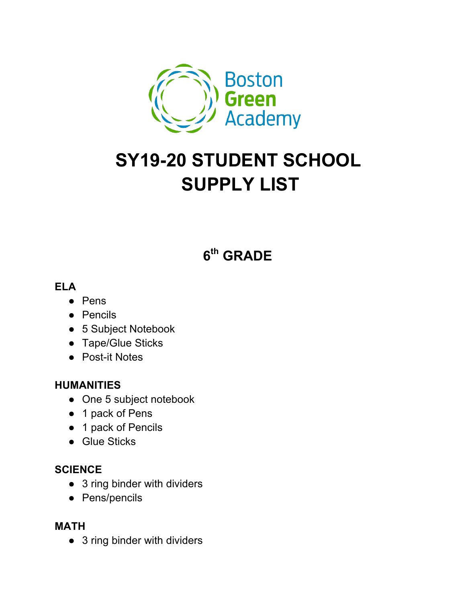

# **SY19-20 STUDENT SCHOOL SUPPLY LIST**

# **6th GRADE**

#### **ELA**

- Pens
- Pencils
- 5 Subject Notebook
- Tape/Glue Sticks
- Post-it Notes

#### **HUMANITIES**

- One 5 subject notebook
- 1 pack of Pens
- 1 pack of Pencils
- Glue Sticks

#### **SCIENCE**

- 3 ring binder with dividers
- Pens/pencils

#### **MATH**

• 3 ring binder with dividers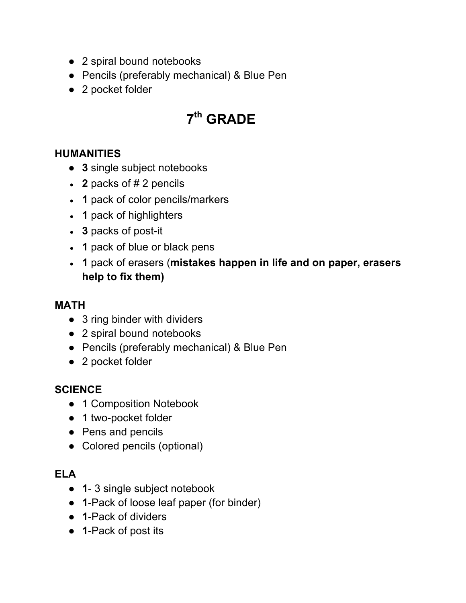- 2 spiral bound notebooks
- Pencils (preferably mechanical) & Blue Pen
- 2 pocket folder

# **7th GRADE**

#### **HUMANITIES**

- **3** single subject notebooks
- **2** packs of # 2 pencils
- **1** pack of color pencils/markers
- 1 pack of highlighters
- **3** packs of post-it
- 1 pack of blue or black pens
- **1** pack of erasers (**mistakes happen in life and on paper, erasers help to fix them)**

#### **MATH**

- 3 ring binder with dividers
- 2 spiral bound notebooks
- Pencils (preferably mechanical) & Blue Pen
- 2 pocket folder

#### **SCIENCE**

- 1 Composition Notebook
- 1 two-pocket folder
- Pens and pencils
- Colored pencils (optional)

### **ELA**

- **1** 3 single subject notebook
- **1**-Pack of loose leaf paper (for binder)
- **1**-Pack of dividers
- **1**-Pack of post its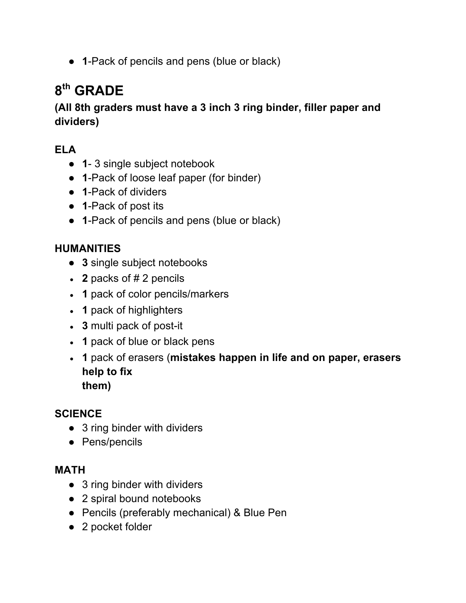● **1**-Pack of pencils and pens (blue or black)

# **8th GRADE**

## **(All 8th graders must have a 3 inch 3 ring binder, filler paper and dividers)**

# **ELA**

- **1** 3 single subject notebook
- **1**-Pack of loose leaf paper (for binder)
- **1**-Pack of dividers
- **1**-Pack of post its
- **1**-Pack of pencils and pens (blue or black)

## **HUMANITIES**

- **3** single subject notebooks
- 2 packs of # 2 pencils
- 1 pack of color pencils/markers
- **1** pack of highlighters
- **3** multi pack of post-it
- 1 pack of blue or black pens
- **1** pack of erasers (**mistakes happen in life and on paper, erasers help to fix them)**

#### **SCIENCE**

- 3 ring binder with dividers
- Pens/pencils

#### **MATH**

- 3 ring binder with dividers
- 2 spiral bound notebooks
- Pencils (preferably mechanical) & Blue Pen
- 2 pocket folder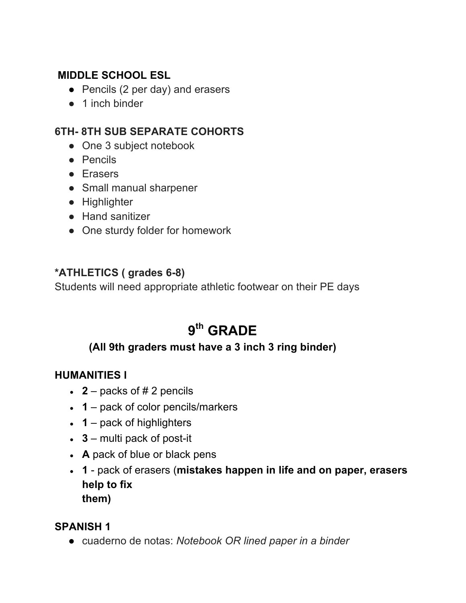#### **MIDDLE SCHOOL ESL**

- Pencils (2 per day) and erasers
- 1 inch binder

#### **6TH- 8TH SUB SEPARATE COHORTS**

- One 3 subject notebook
- Pencils
- Erasers
- Small manual sharpener
- Highlighter
- Hand sanitizer
- One sturdy folder for homework

#### **\*ATHLETICS ( grades 6-8)**

Students will need appropriate athletic footwear on their PE days

# **9th GRADE**

### **(All 9th graders must have a 3 inch 3 ring binder)**

#### **HUMANITIES l**

- $\cdot$  **2** packs of #2 pencils
- $\cdot$  **1** pack of color pencils/markers
- $\cdot$  **1** pack of highlighters
- **3** multi pack of post-it
- A pack of blue or black pens
- **1** pack of erasers (**mistakes happen in life and on paper, erasers help to fix them)**

#### **SPANISH 1**

● cuaderno de notas: *Notebook OR lined paper in a binder*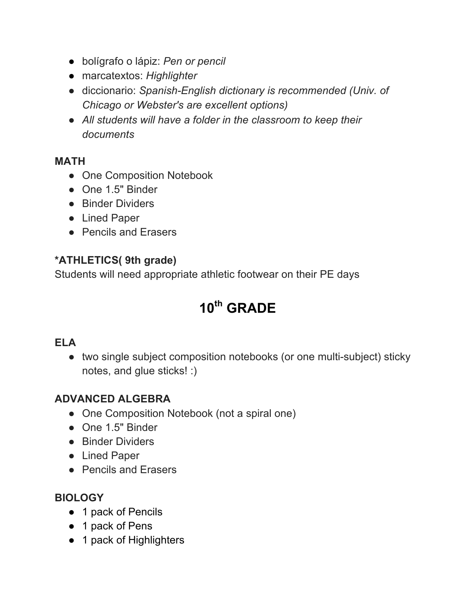- bolígrafo o lápiz: *Pen or pencil*
- marcatextos: *Highlighter*
- diccionario: *Spanish-English dictionary is recommended (Univ. of Chicago or Webster's are excellent options)*
- *All students will have a folder in the classroom to keep their documents*

#### **MATH**

- One Composition Notebook
- One 1.5" Binder
- Binder Dividers
- Lined Paper
- Pencils and Erasers

#### **\*ATHLETICS( 9th grade)**

Students will need appropriate athletic footwear on their PE days

# **10th GRADE**

#### **ELA**

● two single subject composition notebooks (or one multi-subject) sticky notes, and glue sticks! :)

### **ADVANCED ALGEBRA**

- One Composition Notebook (not a spiral one)
- One 1.5" Binder
- Binder Dividers
- Lined Paper
- Pencils and Erasers

### **BIOLOGY**

- 1 pack of Pencils
- 1 pack of Pens
- 1 pack of Highlighters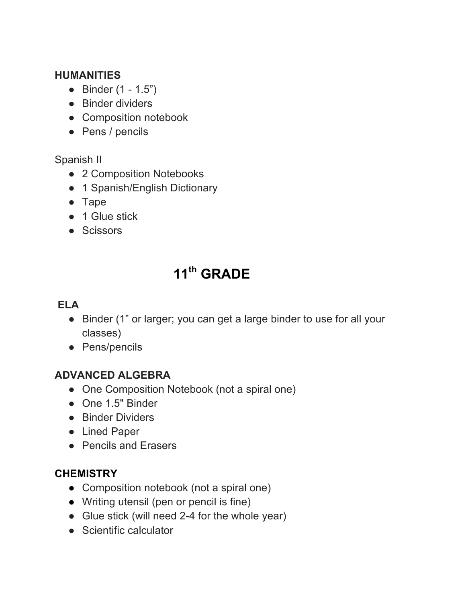#### **HUMANITIES**

- Binder (1 1.5")
- Binder dividers
- Composition notebook
- Pens / pencils

### Spanish II

- 2 Composition Notebooks
- 1 Spanish/English Dictionary
- Tape
- 1 Glue stick
- Scissors

# **11th GRADE**

# **ELA**

- Binder (1" or larger; you can get a large binder to use for all your classes)
- Pens/pencils

#### **ADVANCED ALGEBRA**

- One Composition Notebook (not a spiral one)
- One 1.5" Binder
- Binder Dividers
- Lined Paper
- Pencils and Erasers

#### **CHEMISTRY**

- Composition notebook (not a spiral one)
- Writing utensil (pen or pencil is fine)
- Glue stick (will need 2-4 for the whole year)
- Scientific calculator